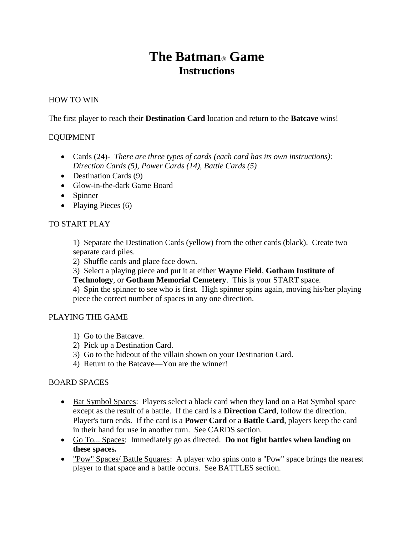# **The Batman**® **Game Instructions**

## HOW TO WIN

The first player to reach their **Destination Card** location and return to the **Batcave** wins!

#### EQUIPMENT

- Cards (24)*- There are three types of cards (each card has its own instructions): Direction Cards (5), Power Cards (14), Battle Cards (5)*
- Destination Cards (9)
- Glow-in-the-dark Game Board
- Spinner
- Playing Pieces  $(6)$

#### TO START PLAY

1) Separate the Destination Cards (yellow) from the other cards (black). Create two separate card piles.

- 2) Shuffle cards and place face down.
- 3) Select a playing piece and put it at either **Wayne Field**, **Gotham Institute of**

**Technology**, or **Gotham Memorial Cemetery**. This is your START space.

4) Spin the spinner to see who is first. High spinner spins again, moving his/her playing piece the correct number of spaces in any one direction.

#### PLAYING THE GAME

- 1) Go to the Batcave.
- 2) Pick up a Destination Card.
- 3) Go to the hideout of the villain shown on your Destination Card.
- 4) Return to the Batcave—You are the winner!

#### BOARD SPACES

- Bat Symbol Spaces: Players select a black card when they land on a Bat Symbol space except as the result of a battle. If the card is a **Direction Card**, follow the direction. Player's turn ends. If the card is a **Power Card** or a **Battle Card**, players keep the card in their hand for use in another turn. See CARDS section.
- Go To... Spaces: Immediately go as directed. **Do not fight battles when landing on these spaces.**
- "Pow" Spaces/ Battle Squares: A player who spins onto a "Pow" space brings the nearest player to that space and a battle occurs. See BATTLES section.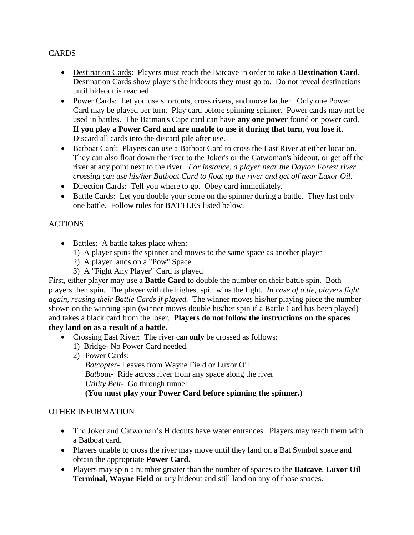## CARDS

- Destination Cards: Players must reach the Batcave in order to take a **Destination Card**. Destination Cards show players the hideouts they must go to. Do not reveal destinations until hideout is reached.
- Power Cards: Let you use shortcuts, cross rivers, and move farther. Only one Power Card may be played per turn. Play card before spinning spinner. Power cards may not be used in battles. The Batman's Cape card can have **any one power** found on power card. **If you play a Power Card and are unable to use it during that turn, you lose it.**  Discard all cards into the discard pile after use.
- Batboat Card: Players can use a Batboat Card to cross the East River at either location. They can also float down the river to the Joker's or the Catwoman's hideout, or get off the river at any point next to the river. *For instance, a player near the Dayton Forest river crossing can use his/her Batboat Card to float up the river and get off near Luxor Oil.*
- Direction Cards: Tell you where to go. Obey card immediately.
- Battle Cards: Let you double your score on the spinner during a battle. They last only one battle. Follow rules for BATTLES listed below.

## **ACTIONS**

- Battles: A battle takes place when:
	- 1) A player spins the spinner and moves to the same space as another player
	- 2) A player lands on a "Pow" Space
	- 3) A "Fight Any Player" Card is played

First, either player may use a **Battle Card** to double the number on their battle spin. Both players then spin. The player with the highest spin wins the fight. *In case of a tie, players fight again, reusing their Battle Cards if played.* The winner moves his/her playing piece the number shown on the winning spin (winner moves double his/her spin if a Battle Card has been played) and takes a black card from the loser. **Players do not follow the instructions on the spaces they land on as a result of a battle.**

- Crossing East River: The river can **only** be crossed as follows:
	- 1) Bridge- No Power Card needed.
	- 2) Power Cards:

*Batcopter-* Leaves from Wayne Field or Luxor Oil *Batboat-* Ride across river from any space along the river *Utility Belt-* Go through tunnel **(You must play your Power Card before spinning the spinner.)**

## OTHER INFORMATION

- The Joker and Catwoman's Hideouts have water entrances. Players may reach them with a Batboat card.
- Players unable to cross the river may move until they land on a Bat Symbol space and obtain the appropriate **Power Card.**
- Players may spin a number greater than the number of spaces to the **Batcave**, **Luxor Oil Terminal**, **Wayne Field** or any hideout and still land on any of those spaces.